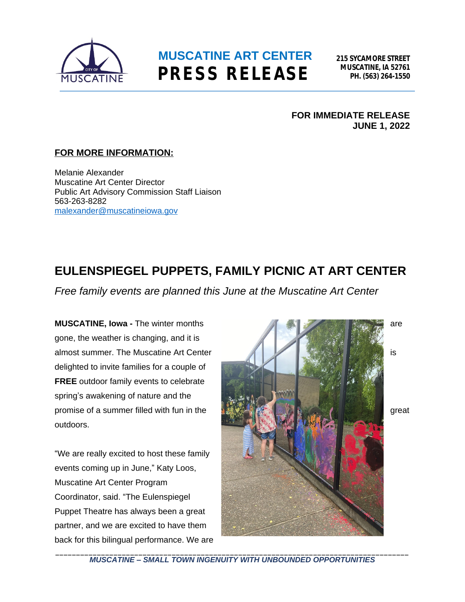

## **MUSCATINE ART CENTER PRESS RELEASE**

**215 SYCAMORE STREET MUSCATINE, IA 52761 PH. (563) 264-1550**

#### **FOR IMMEDIATE RELEASE JUNE 1, 2022**

### **FOR MORE INFORMATION:**

Melanie Alexander Muscatine Art Center Director Public Art Advisory Commission Staff Liaison 563-263-8282 [malexander@muscatineiowa.gov](mailto:malexander@muscatineiowa.gov)

## **EULENSPIEGEL PUPPETS, FAMILY PICNIC AT ART CENTER**

*Free family events are planned this June at the Muscatine Art Center*

gone, the weather is changing, and it is delighted to invite families for a couple of **FREE** outdoor family events to celebrate spring's awakening of nature and the outdoors.

"We are really excited to host these family events coming up in June," Katy Loos, Muscatine Art Center Program Coordinator, said. "The Eulenspiegel Puppet Theatre has always been a great partner, and we are excited to have them back for this bilingual performance. We are



\_\_\_\_\_\_\_\_\_\_\_\_\_\_\_\_\_\_\_\_\_\_\_\_\_\_\_\_\_\_\_\_\_\_\_\_\_\_\_\_\_\_\_\_\_\_\_\_\_\_\_\_\_\_\_\_\_\_\_\_\_\_\_\_\_\_\_\_\_\_\_\_\_\_\_\_\_\_\_\_\_\_\_\_\_ *MUSCATINE – SMALL TOWN INGENUITY WITH UNBOUNDED OPPORTUNITIES*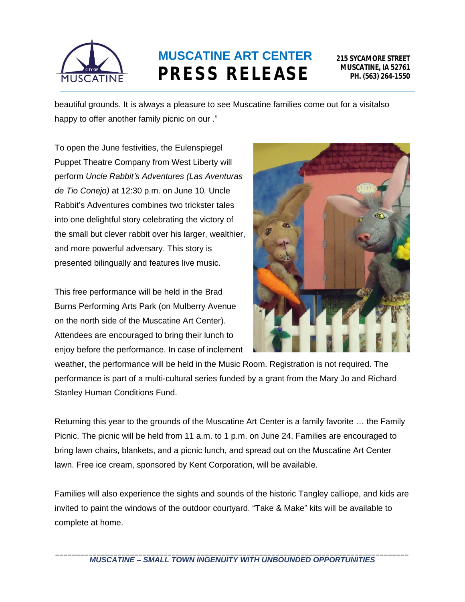

# **MUSCATINE ART CENTER PRESS RELEASE**

beautiful grounds. It is always a pleasure to see Muscatine families come out for a visitalso happy to offer another family picnic on our ."

To open the June festivities, the Eulenspiegel Puppet Theatre Company from West Liberty will perform *Uncle Rabbit's Adventures (Las Aventuras de Tio Conejo)* at 12:30 p.m. on June 10*.* Uncle Rabbit's Adventures combines two trickster tales into one delightful story celebrating the victory of the small but clever rabbit over his larger, wealthier, and more powerful adversary. This story is presented bilingually and features live music.

This free performance will be held in the Brad Burns Performing Arts Park (on Mulberry Avenue on the north side of the Muscatine Art Center). Attendees are encouraged to bring their lunch to enjoy before the performance. In case of inclement



weather, the performance will be held in the Music Room. Registration is not required. The performance is part of a multi-cultural series funded by a grant from the Mary Jo and Richard Stanley Human Conditions Fund.

Returning this year to the grounds of the Muscatine Art Center is a family favorite … the Family Picnic. The picnic will be held from 11 a.m. to 1 p.m. on June 24. Families are encouraged to bring lawn chairs, blankets, and a picnic lunch, and spread out on the Muscatine Art Center lawn. Free ice cream, sponsored by Kent Corporation, will be available.

Families will also experience the sights and sounds of the historic Tangley calliope, and kids are invited to paint the windows of the outdoor courtyard. "Take & Make" kits will be available to complete at home.